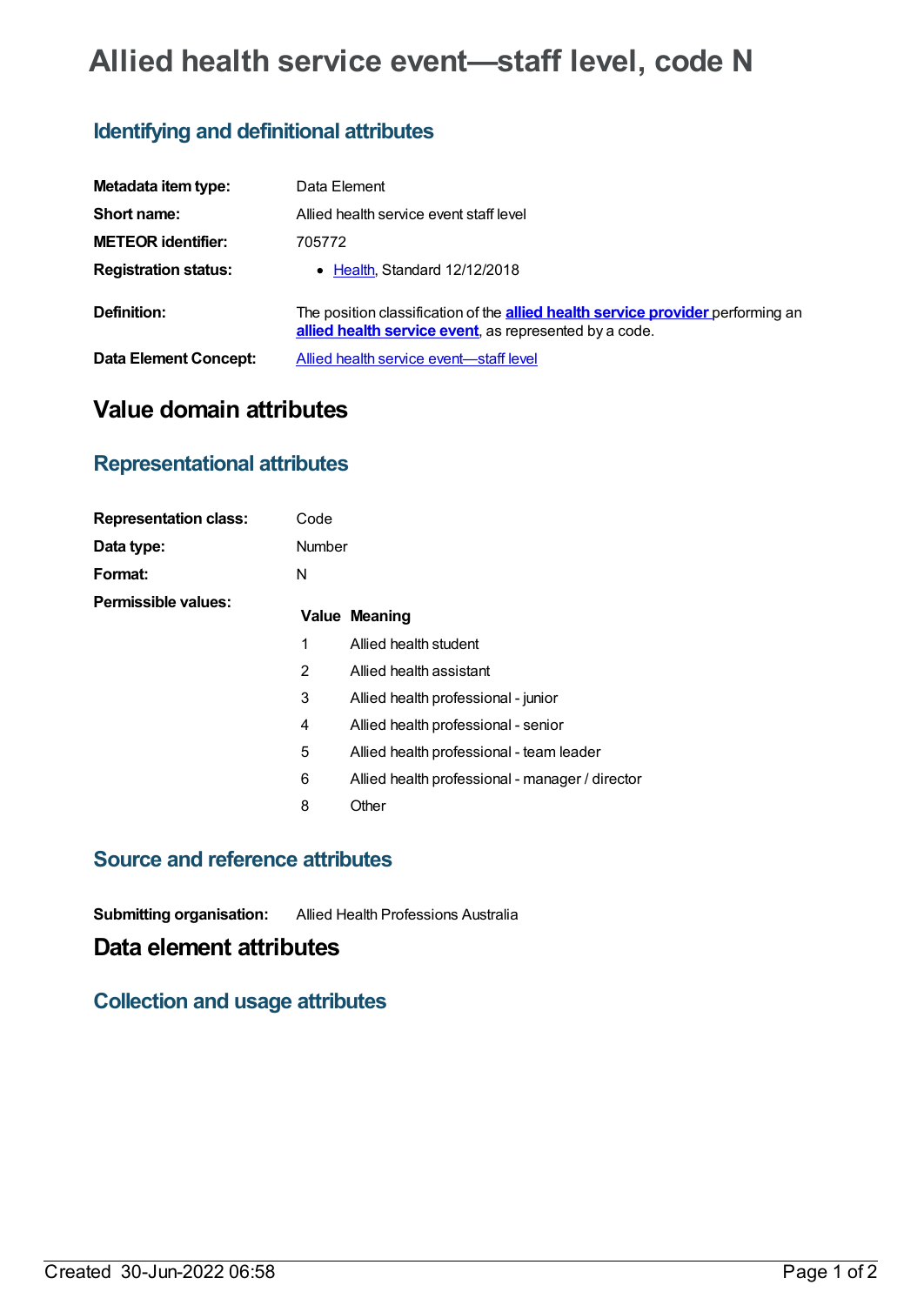# **Allied health service event—staff level, code N**

### **Identifying and definitional attributes**

| Metadata item type:          | Data Element                                                                                                                                     |
|------------------------------|--------------------------------------------------------------------------------------------------------------------------------------------------|
| Short name:                  | Allied health service event staff level                                                                                                          |
| <b>METEOR identifier:</b>    | 705772                                                                                                                                           |
| <b>Registration status:</b>  | • Health, Standard 12/12/2018                                                                                                                    |
| Definition:                  | The position classification of the <b>allied health service provider</b> performing an<br>allied health service event, as represented by a code. |
| <b>Data Element Concept:</b> | Allied health service event-staff level                                                                                                          |

## **Value domain attributes**

#### **Representational attributes**

| <b>Representation class:</b> | Code          |                                                 |
|------------------------------|---------------|-------------------------------------------------|
| Data type:                   | <b>Number</b> |                                                 |
| Format:                      | N             |                                                 |
| Permissible values:          |               | Value Meaning                                   |
|                              | 1             | Allied health student                           |
|                              | 2             | Allied health assistant                         |
|                              | 3             | Allied health professional - junior             |
|                              | 4             | Allied health professional - senior             |
|                              | 5             | Allied health professional - team leader        |
|                              | 6             | Allied health professional - manager / director |
|                              | 8             | Other                                           |

#### **Source and reference attributes**

**Submitting organisation:** Allied Health Professions Australia

### **Data element attributes**

#### **Collection and usage attributes**